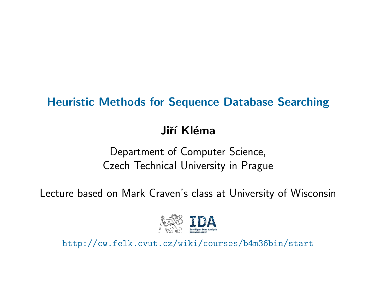### Heuristic Methods for Sequence Database Searching

#### Jiří Kléma

Department of Computer Science, Czech Technical University in Prague

Lecture based on Mark Craven's class at University of Wisconsin



http://cw.felk.cvut.cz/wiki/courses/b4m36bin/start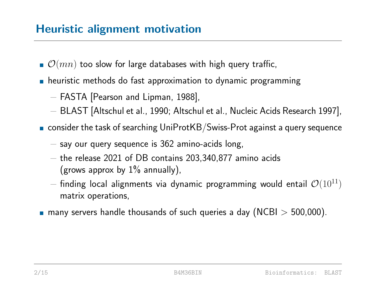### **Heuristic alignment motivation**

- $\bullet$   $\mathcal{O}(mn)$  too slow for large databases with high query traffic,
- **h** heuristic methods do fast approximation to dynamic programming
	- − FASTA [Pearson and Lipman, 1988],
	- − BLAST [Altschul et al., 1990; Altschul et al., Nucleic Acids Research 1997],
- $\blacksquare$  consider the task of searching UniProtKB/Swiss-Prot against a query sequence
	- $-$  say our query sequence is 362 amino-acids long,
	- − the release 2021 of DB contains 203,340,877 amino acids (grows approx by  $1\%$  annually),
	- $-$  finding local alignments via dynamic programming would entail  $\mathcal{O}(10^{11})$ matrix operations,
- **n** many servers handle thousands of such queries a day (NCBI  $>$  500,000).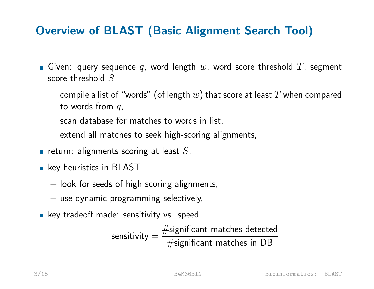# **Overview of BLAST (Basic Alignment Search Tool)**

- Given: query sequence q, word length  $w$ , word score threshold  $T$ , segment score threshold S
	- $-$  compile a list of "words" (of length  $w$ ) that score at least  $T$  when compared to words from  $q$ ,
	- − scan database for matches to words in list,
	- − extend all matches to seek high-scoring alignments,
- return: alignments scoring at least  $S$ ,
- **key heuristics in BLAST** 
	- − look for seeds of high scoring alignments,
	- − use dynamic programming selectively,
- **key tradeoff made: sensitivity vs. speed**

sensitivity  $=$  $\#$ significant matches detected  $\#$ significant matches in DB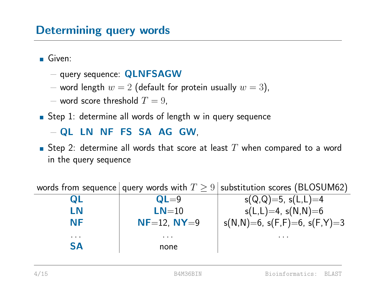#### Determining query words

Given:

- − query sequence: QLNFSAGW
- − word length  $w = 2$  (default for protein usually  $w = 3$ ),
- $-$  word score threshold  $T=9$ ,
- Step 1: determine all words of length w in query sequence

− QL LN NF FS SA AG GW,

Step 2: determine all words that score at least  $T$  when compared to a word in the query sequence

words from sequence query words with  $T \geq 9$  substitution scores (BLOSUM62) **QL**  $QL=9$  s(Q,Q)=5, s(L,L)=4 **LN**  $LN=10$  s(L,L)=4, s(N,N)=6  $NF$  NF=12, NY=9  $\vert$  s(N,N)=6, s(F,F)=6, s(F,Y)=3 . . . . . . . . . SA none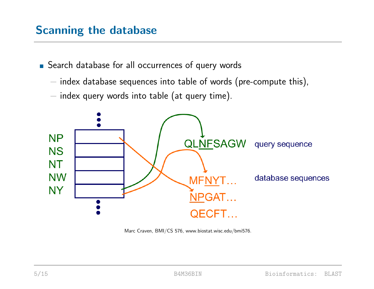#### **Scanning the database**

■ Search database for all occurrences of query words

- − index database sequences into table of words (pre-compute this),
- − index query words into table (at query time).



Marc Craven, BMI/CS 576, www.biostat.wisc.edu/bmi576.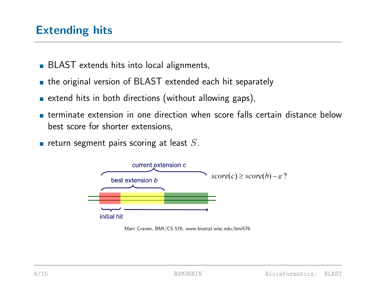### **Extending hits**

- **BLAST** extends hits into local alignments,
- **the original version of BLAST extended each hit separately**
- **Extend hits in both directions (without allowing gaps)**,
- terminate extension in one direction when score falls certain distance below best score for shorter extensions,
- return segment pairs scoring at least  $S$ .



Marc Craven, BMI/CS 576, www.biostat.wisc.edu/bmi576.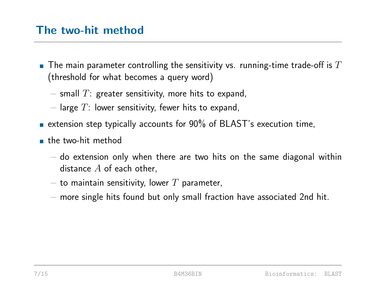#### pThe two-hit method

- $\blacksquare$  The main parameter controlling the sensitivity vs. running-time trade-off is  $T$ (threshold for what becomes a query word)
	- $-$  small  $T$ : greater sensitivity, more hits to expand,
	- $-$  large  $T$ : lower sensitivity, fewer hits to expand,
- **EXTERM** extension step typically accounts for  $90\%$  of BLAST's execution time,
- **the two-hit method** 
	- $-$  do extension only when there are two hits on the same diagonal within distance  $A$  of each other,
	- $-$  to maintain sensitivity, lower  $T$  parameter,
	- − more single hits found but only small fraction have associated 2nd hit.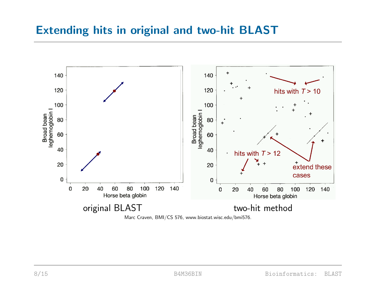#### pExtending hits in original and two-hit BLAST

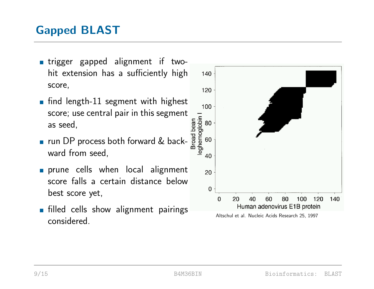# **Gapped BLAST**

- **I** trigger gapped alignment if twohit extension has a sufficiently high score,
- $\blacksquare$  find length-11 segment with highest as seed,
- score; use central pair in this segment<br>as seed,<br>run DP process both forward & back-<br>as a process both forward & back-<br>as a property<br>ward from seed. ■ run DP process both forward & backward from seed,
- **prune cells when local alignment** score falls a certain distance below best score yet,
- **filled cells show alignment pairings** considered.



Altschul et al. Nucleic Acids Research 25, 1997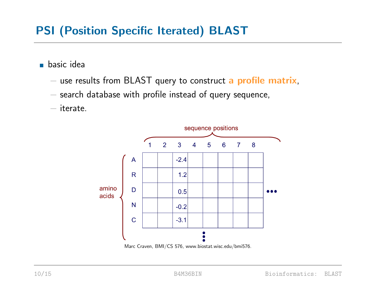# pPSI (Position Specific Iterated) BLAST

**basic idea** 

- − use results from BLAST query to construct a profile matrix,
- − search database with profile instead of query sequence,

− iterate.



Marc Craven, BMI/CS 576, www.biostat.wisc.edu/bmi576.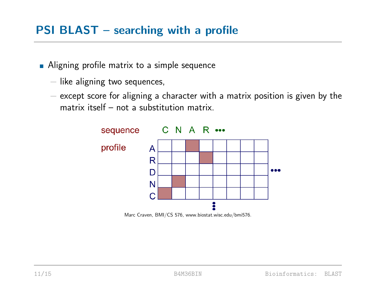- **Aligning profile matrix to a simple sequence** 
	- − like aligning two sequences,
	- − except score for aligning a character with a matrix position is given by the matrix itself – not a substitution matrix.



Marc Craven, BMI/CS 576, www.biostat.wisc.edu/bmi576.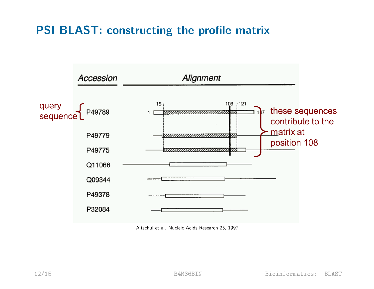### PSI BLAST: constructing the profile matrix



Altschul et al. Nucleic Acids Research 25, 1997.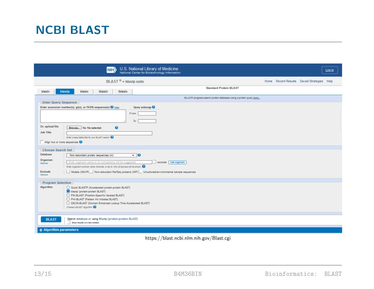|                                        | U.S. National Library of Medicine<br>National Center for Biotechnology Information<br>$\vert$ NIH $\rangle$                                                                                                                                                                    |                                                                     |  |                                           | Log in |
|----------------------------------------|--------------------------------------------------------------------------------------------------------------------------------------------------------------------------------------------------------------------------------------------------------------------------------|---------------------------------------------------------------------|--|-------------------------------------------|--------|
|                                        | BLAST <sup>®</sup> » blastp suite                                                                                                                                                                                                                                              |                                                                     |  | Home Recent Results Saved Strategies Help |        |
| blastp<br>blastn                       | tblastx<br>blastx<br>tblastn                                                                                                                                                                                                                                                   | <b>Standard Protein BLAST</b>                                       |  |                                           |        |
|                                        |                                                                                                                                                                                                                                                                                | BLASTP programs search protein databases using a protein query more |  |                                           |        |
| <b>Enter Query Sequence</b>            | Enter accession number(s), gi(s), or FASTA sequence(s) @ Clear<br>Query subrange <sup>2</sup><br>From<br>To                                                                                                                                                                    |                                                                     |  |                                           |        |
| Or, upload file<br><b>Job Title</b>    | 0<br>Browse No file selected.                                                                                                                                                                                                                                                  |                                                                     |  |                                           |        |
| Align two or more sequences $\bigcirc$ | Enter a descriptive title for your BLAST search                                                                                                                                                                                                                                |                                                                     |  |                                           |        |
| <b>Choose Search Set</b>               |                                                                                                                                                                                                                                                                                |                                                                     |  |                                           |        |
| <b>Database</b>                        | $\overline{\mathbf{e}}$<br>Non-redundant protein sequences (nr)                                                                                                                                                                                                                |                                                                     |  |                                           |        |
| Organism<br>Optional                   | Enter organism name or id-completions will be suggested<br>exclude Add organism<br>Enter organism common name, binomial, or tax id. Only 20 top taxa will be shown.                                                                                                            |                                                                     |  |                                           |        |
| <b>Exclude</b><br>Optional             | Models (XM/XP) Non-redundant RefSeq proteins (WP) L Uncultured/environmental sample sequences                                                                                                                                                                                  |                                                                     |  |                                           |        |
| <b>Program Selection</b>               |                                                                                                                                                                                                                                                                                |                                                                     |  |                                           |        |
| Algorithm                              | Q Quick BLASTP (Accelerated protein-protein BLAST)<br>blastp (protein-protein BLAST)<br>◯ PSI-BLAST (Position-Specific Iterated BLAST)<br>PHI-BLAST (Pattern Hit Initiated BLAST)<br>O DELTA-BLAST (Domain Enhanced Lookup Time Accelerated BLAST)<br>Choose a BLAST algorithm |                                                                     |  |                                           |        |
| <b>BLAST</b>                           | Search database nr using Blastp (protein-protein BLAST)<br>Show results in a new window                                                                                                                                                                                        |                                                                     |  |                                           |        |
| + Algorithm parameters                 |                                                                                                                                                                                                                                                                                |                                                                     |  |                                           |        |

https://blast.ncbi.nlm.nih.gov/Blast.cgi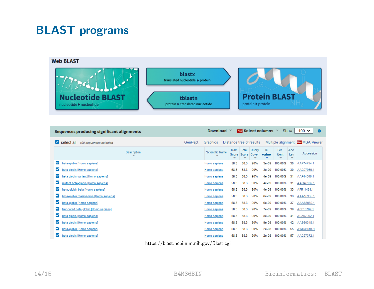# **BLAST** programs



| <b>Sequences producing significant alignments</b> |                                                |         |                                  | $100 \times$<br>Show<br><b>Download</b><br><b>New Select columns</b> $\vee$<br>0 |                     |                                            |            |                    |                  |                       |
|---------------------------------------------------|------------------------------------------------|---------|----------------------------------|----------------------------------------------------------------------------------|---------------------|--------------------------------------------|------------|--------------------|------------------|-----------------------|
| M                                                 | select all 100 sequences selected              | GenPept | Graphics                         |                                                                                  |                     | Distance tree of results                   |            | Multiple alignment |                  | <b>New MSA Viewer</b> |
|                                                   | <b>Description</b><br>$\overline{\phantom{a}}$ |         | Scientific Name<br>$\overline{}$ | Max<br>Score<br>▼                                                                | Total<br>Score<br>▼ | Query<br>Cover<br>$\overline{\phantom{a}}$ | Е<br>value | Per.<br>Ident<br>▼ | Acc.<br>Len<br>▼ | Accession             |
| ✓                                                 | beta-globin [Homo sapiens]                     |         | Homo sapiens                     | 58.3                                                                             | 58.3                | 90%                                        | $3e-09$    | 100.00%            | 30               | AAP74754.1            |
| ⊻                                                 | beta globin [Homo sapiens]                     |         | Homo sapiens                     | 58.3                                                                             | 58.3                | 90%                                        | $3e-09$    | 100.00%            | 30               | AAC97959.1            |
| ⊻                                                 | beta globin variant [Homo sapiens]             |         | Homo sapiens                     | 58.3                                                                             | 58.3                | 90%                                        | $4e-09$    | 100.00%            | 31               | AAP44006.1            |
| ⊻                                                 | mutant beta-globin [Homo sapiens]              |         | Homo sapiens                     | 58.3                                                                             | 58.3                | 90%                                        | $4e-09$    | 100.00%            | 31               | AAG46182.1            |
| ✓                                                 | hemoglobin beta [Homo sapiens]                 |         | Homo sapiens                     | 58.3                                                                             | 58.3                | 90%                                        | $4e-09$    | 100.00%            | 33               | AFR11469.1            |
| ⊻                                                 | beta-globin thalassemia [Homo sapiens]         |         | Homo sapiens                     | 58.3                                                                             | 58.3                | 90%                                        | 6e-09      | 100.00%            | 36               | AAA16335.1            |
| ✓                                                 | beta-qlobin [Homo sapiens]                     |         | Homo sapiens                     | 58.3                                                                             | 58.3                | 90%                                        | 6e-09      | 100.00%            | 37               | AAA88069.1            |
| ✓                                                 | truncated beta globin [Homo sapiens]           |         | Homo sapiens                     | 58.3                                                                             | 58.3                | 90%                                        | $7e-09$    | 100.00%            | 39               | ACF16769.1            |
| ⊻                                                 | beta globin [Homo sapiens]                     |         | Homo sapiens                     | 58.3                                                                             | 58.3                | 90%                                        | 8e-09      | 100.00%            | 41               | ACZ67952.1            |
| ✓                                                 | beta globin [Homo sapiens]                     |         | Homo sapiens                     | 58.3                                                                             | 58.3                | 90%                                        | $9e-09$    | 100.00%            | 42               | AAB60348.1            |
| ✓                                                 | beta-globin [Homo sapiens]                     |         | Homo sapiens                     | 58.3                                                                             | 58.3                | 90%                                        | $2e-08$    | 100.00%            | 55               | AWD38994.1            |
| ⊻                                                 | beta globin [Homo sapiens]                     |         | Homo sapiens                     | 58.3                                                                             | 58.3                | 90%                                        | $2e-08$    | 100.00%            | 57               | AAC97372.1            |
|                                                   | $1.011 - 1.011 - 1.011$<br>$\blacksquare$      |         | $\sqrt{2}$                       |                                                                                  |                     |                                            |            |                    |                  |                       |

https://blast.ncbi.nlm.nih.gov/Blast.cgi